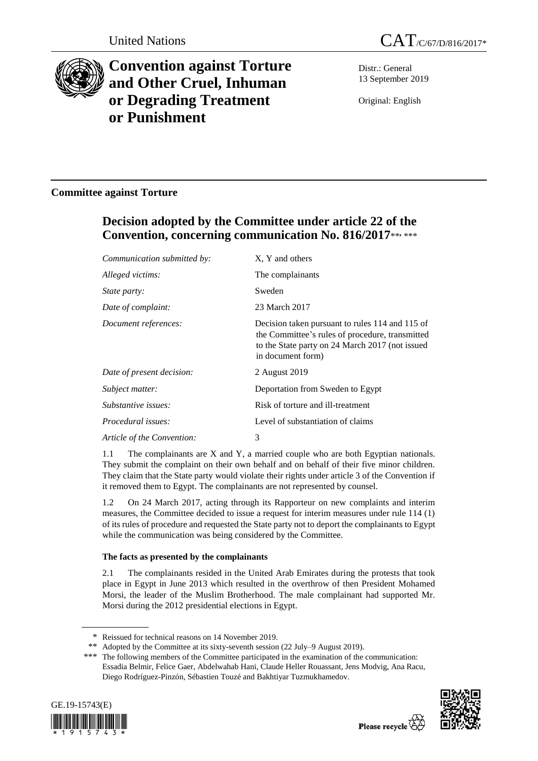



# **Convention against Torture and Other Cruel, Inhuman or Degrading Treatment or Punishment**

Distr.: General 13 September 2019

Original: English

# **Committee against Torture**

# **Decision adopted by the Committee under article 22 of the Convention, concerning communication No. 816/2017**\*\* **,** \*\*\*

| Communication submitted by: | X, Y and others                                                                                                                                                            |
|-----------------------------|----------------------------------------------------------------------------------------------------------------------------------------------------------------------------|
| Alleged victims:            | The complainants                                                                                                                                                           |
| <i>State party:</i>         | Sweden                                                                                                                                                                     |
| Date of complaint:          | 23 March 2017                                                                                                                                                              |
| Document references:        | Decision taken pursuant to rules 114 and 115 of<br>the Committee's rules of procedure, transmitted<br>to the State party on 24 March 2017 (not issued<br>in document form) |
| Date of present decision:   | 2 August 2019                                                                                                                                                              |
| Subject matter:             | Deportation from Sweden to Egypt                                                                                                                                           |
| Substantive issues:         | Risk of torture and ill-treatment                                                                                                                                          |
| <i>Procedural issues:</i>   | Level of substantiation of claims                                                                                                                                          |
| Article of the Convention:  | 3                                                                                                                                                                          |

1.1 The complainants are X and Y, a married couple who are both Egyptian nationals. They submit the complaint on their own behalf and on behalf of their five minor children. They claim that the State party would violate their rights under article 3 of the Convention if it removed them to Egypt. The complainants are not represented by counsel.

1.2 On 24 March 2017, acting through its Rapporteur on new complaints and interim measures, the Committee decided to issue a request for interim measures under rule 114 (1) of its rules of procedure and requested the State party not to deport the complainants to Egypt while the communication was being considered by the Committee.

# **The facts as presented by the complainants**

2.1 The complainants resided in the United Arab Emirates during the protests that took place in Egypt in June 2013 which resulted in the overthrow of then President Mohamed Morsi, the leader of the Muslim Brotherhood. The male complainant had supported Mr. Morsi during the 2012 presidential elections in Egypt.

<sup>\*\*\*</sup> The following members of the Committee participated in the examination of the communication: Essadia Belmir, Felice Gaer, Abdelwahab Hani, Claude Heller Rouassant, Jens Modvig, Ana Racu, Diego Rodríguez-Pinzón, Sébastien Touzé and Bakhtiyar Tuzmukhamedov.





<sup>\*</sup> Reissued for technical reasons on 14 November 2019.

<sup>\*\*</sup> Adopted by the Committee at its sixty-seventh session (22 July–9 August 2019).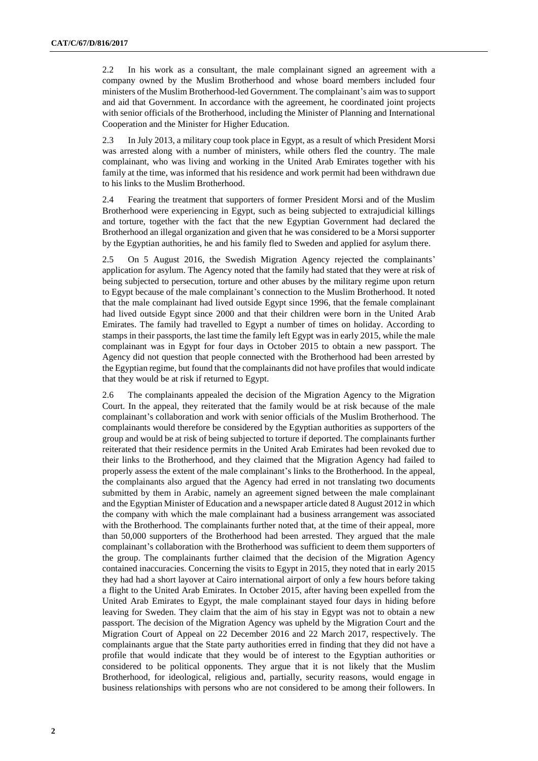2.2 In his work as a consultant, the male complainant signed an agreement with a company owned by the Muslim Brotherhood and whose board members included four ministers of the Muslim Brotherhood-led Government. The complainant's aim was to support and aid that Government. In accordance with the agreement, he coordinated joint projects with senior officials of the Brotherhood, including the Minister of Planning and International Cooperation and the Minister for Higher Education.

2.3 In July 2013, a military coup took place in Egypt, as a result of which President Morsi was arrested along with a number of ministers, while others fled the country. The male complainant, who was living and working in the United Arab Emirates together with his family at the time, was informed that his residence and work permit had been withdrawn due to his links to the Muslim Brotherhood.

2.4 Fearing the treatment that supporters of former President Morsi and of the Muslim Brotherhood were experiencing in Egypt, such as being subjected to extrajudicial killings and torture, together with the fact that the new Egyptian Government had declared the Brotherhood an illegal organization and given that he was considered to be a Morsi supporter by the Egyptian authorities, he and his family fled to Sweden and applied for asylum there.

2.5 On 5 August 2016, the Swedish Migration Agency rejected the complainants' application for asylum. The Agency noted that the family had stated that they were at risk of being subjected to persecution, torture and other abuses by the military regime upon return to Egypt because of the male complainant's connection to the Muslim Brotherhood. It noted that the male complainant had lived outside Egypt since 1996, that the female complainant had lived outside Egypt since 2000 and that their children were born in the United Arab Emirates. The family had travelled to Egypt a number of times on holiday. According to stamps in their passports, the last time the family left Egypt was in early 2015, while the male complainant was in Egypt for four days in October 2015 to obtain a new passport. The Agency did not question that people connected with the Brotherhood had been arrested by the Egyptian regime, but found that the complainants did not have profiles that would indicate that they would be at risk if returned to Egypt.

2.6 The complainants appealed the decision of the Migration Agency to the Migration Court. In the appeal, they reiterated that the family would be at risk because of the male complainant's collaboration and work with senior officials of the Muslim Brotherhood. The complainants would therefore be considered by the Egyptian authorities as supporters of the group and would be at risk of being subjected to torture if deported. The complainants further reiterated that their residence permits in the United Arab Emirates had been revoked due to their links to the Brotherhood, and they claimed that the Migration Agency had failed to properly assess the extent of the male complainant's links to the Brotherhood. In the appeal, the complainants also argued that the Agency had erred in not translating two documents submitted by them in Arabic, namely an agreement signed between the male complainant and the Egyptian Minister of Education and a newspaper article dated 8 August 2012 in which the company with which the male complainant had a business arrangement was associated with the Brotherhood. The complainants further noted that, at the time of their appeal, more than 50,000 supporters of the Brotherhood had been arrested. They argued that the male complainant's collaboration with the Brotherhood was sufficient to deem them supporters of the group. The complainants further claimed that the decision of the Migration Agency contained inaccuracies. Concerning the visits to Egypt in 2015, they noted that in early 2015 they had had a short layover at Cairo international airport of only a few hours before taking a flight to the United Arab Emirates. In October 2015, after having been expelled from the United Arab Emirates to Egypt, the male complainant stayed four days in hiding before leaving for Sweden. They claim that the aim of his stay in Egypt was not to obtain a new passport. The decision of the Migration Agency was upheld by the Migration Court and the Migration Court of Appeal on 22 December 2016 and 22 March 2017, respectively. The complainants argue that the State party authorities erred in finding that they did not have a profile that would indicate that they would be of interest to the Egyptian authorities or considered to be political opponents. They argue that it is not likely that the Muslim Brotherhood, for ideological, religious and, partially, security reasons, would engage in business relationships with persons who are not considered to be among their followers. In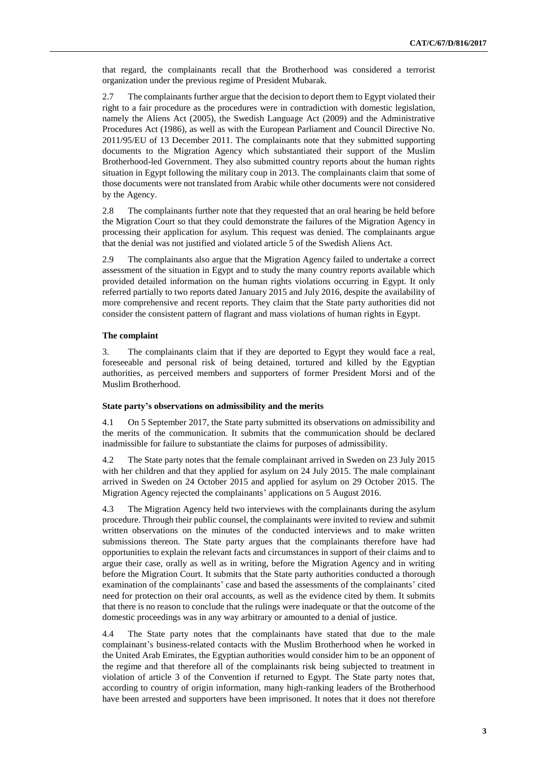that regard, the complainants recall that the Brotherhood was considered a terrorist organization under the previous regime of President Mubarak.

2.7 The complainants further argue that the decision to deport them to Egypt violated their right to a fair procedure as the procedures were in contradiction with domestic legislation, namely the Aliens Act (2005), the Swedish Language Act (2009) and the Administrative Procedures Act (1986), as well as with the European Parliament and Council Directive No. 2011/95/EU of 13 December 2011. The complainants note that they submitted supporting documents to the Migration Agency which substantiated their support of the Muslim Brotherhood-led Government. They also submitted country reports about the human rights situation in Egypt following the military coup in 2013. The complainants claim that some of those documents were not translated from Arabic while other documents were not considered by the Agency.

2.8 The complainants further note that they requested that an oral hearing be held before the Migration Court so that they could demonstrate the failures of the Migration Agency in processing their application for asylum. This request was denied. The complainants argue that the denial was not justified and violated article 5 of the Swedish Aliens Act.

2.9 The complainants also argue that the Migration Agency failed to undertake a correct assessment of the situation in Egypt and to study the many country reports available which provided detailed information on the human rights violations occurring in Egypt. It only referred partially to two reports dated January 2015 and July 2016, despite the availability of more comprehensive and recent reports. They claim that the State party authorities did not consider the consistent pattern of flagrant and mass violations of human rights in Egypt.

### **The complaint**

3. The complainants claim that if they are deported to Egypt they would face a real, foreseeable and personal risk of being detained, tortured and killed by the Egyptian authorities, as perceived members and supporters of former President Morsi and of the Muslim Brotherhood.

#### **State party's observations on admissibility and the merits**

4.1 On 5 September 2017, the State party submitted its observations on admissibility and the merits of the communication. It submits that the communication should be declared inadmissible for failure to substantiate the claims for purposes of admissibility.

4.2 The State party notes that the female complainant arrived in Sweden on 23 July 2015 with her children and that they applied for asylum on 24 July 2015. The male complainant arrived in Sweden on 24 October 2015 and applied for asylum on 29 October 2015. The Migration Agency rejected the complainants' applications on 5 August 2016.

4.3 The Migration Agency held two interviews with the complainants during the asylum procedure. Through their public counsel, the complainants were invited to review and submit written observations on the minutes of the conducted interviews and to make written submissions thereon. The State party argues that the complainants therefore have had opportunities to explain the relevant facts and circumstances in support of their claims and to argue their case, orally as well as in writing, before the Migration Agency and in writing before the Migration Court. It submits that the State party authorities conducted a thorough examination of the complainants' case and based the assessments of the complainants' cited need for protection on their oral accounts, as well as the evidence cited by them. It submits that there is no reason to conclude that the rulings were inadequate or that the outcome of the domestic proceedings was in any way arbitrary or amounted to a denial of justice.

4.4 The State party notes that the complainants have stated that due to the male complainant's business-related contacts with the Muslim Brotherhood when he worked in the United Arab Emirates, the Egyptian authorities would consider him to be an opponent of the regime and that therefore all of the complainants risk being subjected to treatment in violation of article 3 of the Convention if returned to Egypt. The State party notes that, according to country of origin information, many high-ranking leaders of the Brotherhood have been arrested and supporters have been imprisoned. It notes that it does not therefore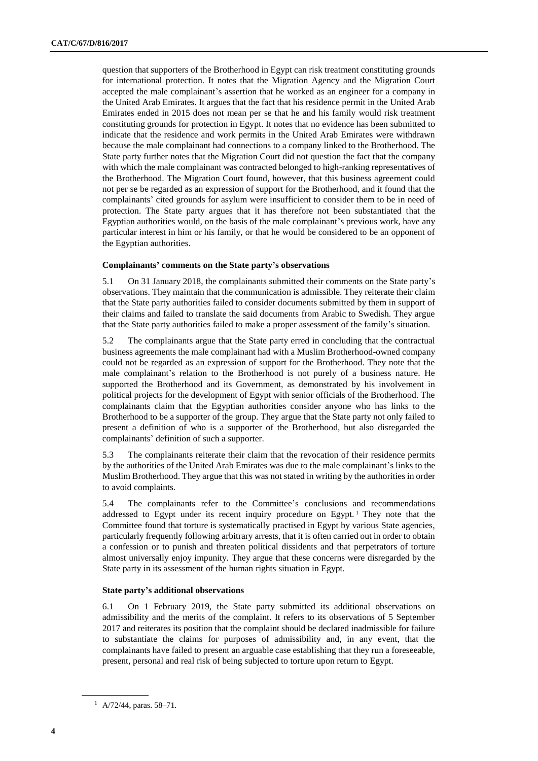question that supporters of the Brotherhood in Egypt can risk treatment constituting grounds for international protection. It notes that the Migration Agency and the Migration Court accepted the male complainant's assertion that he worked as an engineer for a company in the United Arab Emirates. It argues that the fact that his residence permit in the United Arab Emirates ended in 2015 does not mean per se that he and his family would risk treatment constituting grounds for protection in Egypt. It notes that no evidence has been submitted to indicate that the residence and work permits in the United Arab Emirates were withdrawn because the male complainant had connections to a company linked to the Brotherhood. The State party further notes that the Migration Court did not question the fact that the company with which the male complainant was contracted belonged to high-ranking representatives of the Brotherhood. The Migration Court found, however, that this business agreement could not per se be regarded as an expression of support for the Brotherhood, and it found that the complainants' cited grounds for asylum were insufficient to consider them to be in need of protection. The State party argues that it has therefore not been substantiated that the Egyptian authorities would, on the basis of the male complainant's previous work, have any particular interest in him or his family, or that he would be considered to be an opponent of the Egyptian authorities.

## **Complainants' comments on the State party's observations**

5.1 On 31 January 2018, the complainants submitted their comments on the State party's observations. They maintain that the communication is admissible. They reiterate their claim that the State party authorities failed to consider documents submitted by them in support of their claims and failed to translate the said documents from Arabic to Swedish. They argue that the State party authorities failed to make a proper assessment of the family's situation.

5.2 The complainants argue that the State party erred in concluding that the contractual business agreements the male complainant had with a Muslim Brotherhood-owned company could not be regarded as an expression of support for the Brotherhood. They note that the male complainant's relation to the Brotherhood is not purely of a business nature. He supported the Brotherhood and its Government, as demonstrated by his involvement in political projects for the development of Egypt with senior officials of the Brotherhood. The complainants claim that the Egyptian authorities consider anyone who has links to the Brotherhood to be a supporter of the group. They argue that the State party not only failed to present a definition of who is a supporter of the Brotherhood, but also disregarded the complainants' definition of such a supporter.

5.3 The complainants reiterate their claim that the revocation of their residence permits by the authorities of the United Arab Emirates was due to the male complainant's links to the Muslim Brotherhood. They argue that this was not stated in writing by the authorities in order to avoid complaints.

5.4 The complainants refer to the Committee's conclusions and recommendations addressed to Egypt under its recent inquiry procedure on Egypt.<sup>1</sup> They note that the Committee found that torture is systematically practised in Egypt by various State agencies, particularly frequently following arbitrary arrests, that it is often carried out in order to obtain a confession or to punish and threaten political dissidents and that perpetrators of torture almost universally enjoy impunity. They argue that these concerns were disregarded by the State party in its assessment of the human rights situation in Egypt.

## **State party's additional observations**

6.1 On 1 February 2019, the State party submitted its additional observations on admissibility and the merits of the complaint. It refers to its observations of 5 September 2017 and reiterates its position that the complaint should be declared inadmissible for failure to substantiate the claims for purposes of admissibility and, in any event, that the complainants have failed to present an arguable case establishing that they run a foreseeable, present, personal and real risk of being subjected to torture upon return to Egypt.

 $1$  A/72/44, paras. 58–71.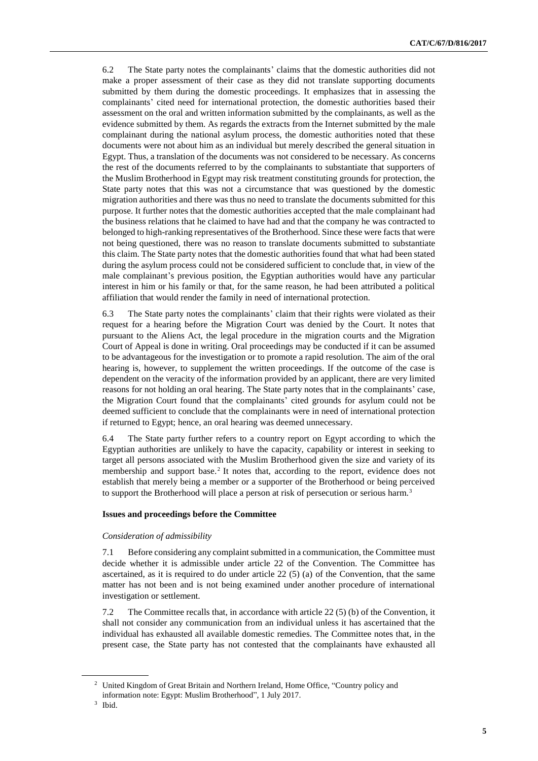6.2 The State party notes the complainants' claims that the domestic authorities did not make a proper assessment of their case as they did not translate supporting documents submitted by them during the domestic proceedings. It emphasizes that in assessing the complainants' cited need for international protection, the domestic authorities based their assessment on the oral and written information submitted by the complainants, as well as the evidence submitted by them. As regards the extracts from the Internet submitted by the male complainant during the national asylum process, the domestic authorities noted that these documents were not about him as an individual but merely described the general situation in Egypt. Thus, a translation of the documents was not considered to be necessary. As concerns the rest of the documents referred to by the complainants to substantiate that supporters of the Muslim Brotherhood in Egypt may risk treatment constituting grounds for protection, the State party notes that this was not a circumstance that was questioned by the domestic migration authorities and there was thus no need to translate the documents submitted for this purpose. It further notes that the domestic authorities accepted that the male complainant had the business relations that he claimed to have had and that the company he was contracted to belonged to high-ranking representatives of the Brotherhood. Since these were facts that were not being questioned, there was no reason to translate documents submitted to substantiate this claim. The State party notes that the domestic authorities found that what had been stated during the asylum process could not be considered sufficient to conclude that, in view of the male complainant's previous position, the Egyptian authorities would have any particular interest in him or his family or that, for the same reason, he had been attributed a political affiliation that would render the family in need of international protection.

6.3 The State party notes the complainants' claim that their rights were violated as their request for a hearing before the Migration Court was denied by the Court. It notes that pursuant to the Aliens Act, the legal procedure in the migration courts and the Migration Court of Appeal is done in writing. Oral proceedings may be conducted if it can be assumed to be advantageous for the investigation or to promote a rapid resolution. The aim of the oral hearing is, however, to supplement the written proceedings. If the outcome of the case is dependent on the veracity of the information provided by an applicant, there are very limited reasons for not holding an oral hearing. The State party notes that in the complainants' case, the Migration Court found that the complainants' cited grounds for asylum could not be deemed sufficient to conclude that the complainants were in need of international protection if returned to Egypt; hence, an oral hearing was deemed unnecessary.

6.4 The State party further refers to a country report on Egypt according to which the Egyptian authorities are unlikely to have the capacity, capability or interest in seeking to target all persons associated with the Muslim Brotherhood given the size and variety of its membership and support base.<sup>2</sup> It notes that, according to the report, evidence does not establish that merely being a member or a supporter of the Brotherhood or being perceived to support the Brotherhood will place a person at risk of persecution or serious harm.<sup>3</sup>

#### **Issues and proceedings before the Committee**

#### *Consideration of admissibility*

7.1 Before considering any complaint submitted in a communication, the Committee must decide whether it is admissible under article 22 of the Convention. The Committee has ascertained, as it is required to do under article  $22(5)$  (a) of the Convention, that the same matter has not been and is not being examined under another procedure of international investigation or settlement.

7.2 The Committee recalls that, in accordance with article 22 (5) (b) of the Convention, it shall not consider any communication from an individual unless it has ascertained that the individual has exhausted all available domestic remedies. The Committee notes that, in the present case, the State party has not contested that the complainants have exhausted all

<sup>2</sup> United Kingdom of Great Britain and Northern Ireland, Home Office, "Country policy and information note: Egypt: Muslim Brotherhood", 1 July 2017.

<sup>3</sup> Ibid.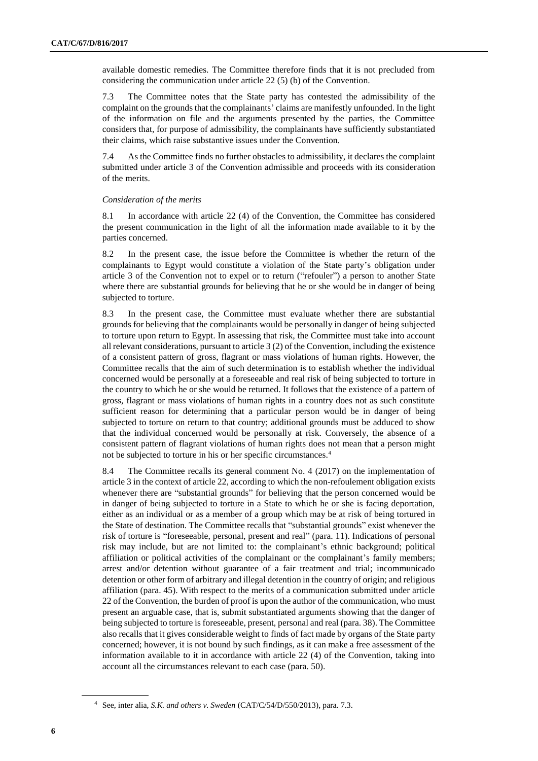available domestic remedies. The Committee therefore finds that it is not precluded from considering the communication under article 22 (5) (b) of the Convention.

7.3 The Committee notes that the State party has contested the admissibility of the complaint on the grounds that the complainants' claims are manifestly unfounded. In the light of the information on file and the arguments presented by the parties, the Committee considers that, for purpose of admissibility, the complainants have sufficiently substantiated their claims, which raise substantive issues under the Convention.

7.4 As the Committee finds no further obstacles to admissibility, it declares the complaint submitted under article 3 of the Convention admissible and proceeds with its consideration of the merits.

#### *Consideration of the merits*

8.1 In accordance with article 22 (4) of the Convention, the Committee has considered the present communication in the light of all the information made available to it by the parties concerned.

8.2 In the present case, the issue before the Committee is whether the return of the complainants to Egypt would constitute a violation of the State party's obligation under article 3 of the Convention not to expel or to return ("refouler") a person to another State where there are substantial grounds for believing that he or she would be in danger of being subjected to torture.

8.3 In the present case, the Committee must evaluate whether there are substantial grounds for believing that the complainants would be personally in danger of being subjected to torture upon return to Egypt. In assessing that risk, the Committee must take into account all relevant considerations, pursuant to article 3 (2) of the Convention, including the existence of a consistent pattern of gross, flagrant or mass violations of human rights. However, the Committee recalls that the aim of such determination is to establish whether the individual concerned would be personally at a foreseeable and real risk of being subjected to torture in the country to which he or she would be returned. It follows that the existence of a pattern of gross, flagrant or mass violations of human rights in a country does not as such constitute sufficient reason for determining that a particular person would be in danger of being subjected to torture on return to that country; additional grounds must be adduced to show that the individual concerned would be personally at risk. Conversely, the absence of a consistent pattern of flagrant violations of human rights does not mean that a person might not be subjected to torture in his or her specific circumstances.<sup>4</sup>

8.4 The Committee recalls its general comment No. 4 (2017) on the implementation of article 3 in the context of article 22, according to which the non-refoulement obligation exists whenever there are "substantial grounds" for believing that the person concerned would be in danger of being subjected to torture in a State to which he or she is facing deportation, either as an individual or as a member of a group which may be at risk of being tortured in the State of destination. The Committee recalls that "substantial grounds" exist whenever the risk of torture is "foreseeable, personal, present and real" (para. 11). Indications of personal risk may include, but are not limited to: the complainant's ethnic background; political affiliation or political activities of the complainant or the complainant's family members; arrest and/or detention without guarantee of a fair treatment and trial; incommunicado detention or other form of arbitrary and illegal detention in the country of origin; and religious affiliation (para. 45). With respect to the merits of a communication submitted under article 22 of the Convention, the burden of proof is upon the author of the communication, who must present an arguable case, that is, submit substantiated arguments showing that the danger of being subjected to torture is foreseeable, present, personal and real (para. 38). The Committee also recalls that it gives considerable weight to finds of fact made by organs of the State party concerned; however, it is not bound by such findings, as it can make a free assessment of the information available to it in accordance with article 22 (4) of the Convention, taking into account all the circumstances relevant to each case (para. 50).

<sup>4</sup> See, inter alia, *S.K. and others v. Sweden* (CAT/C/54/D/550/2013), para. 7.3.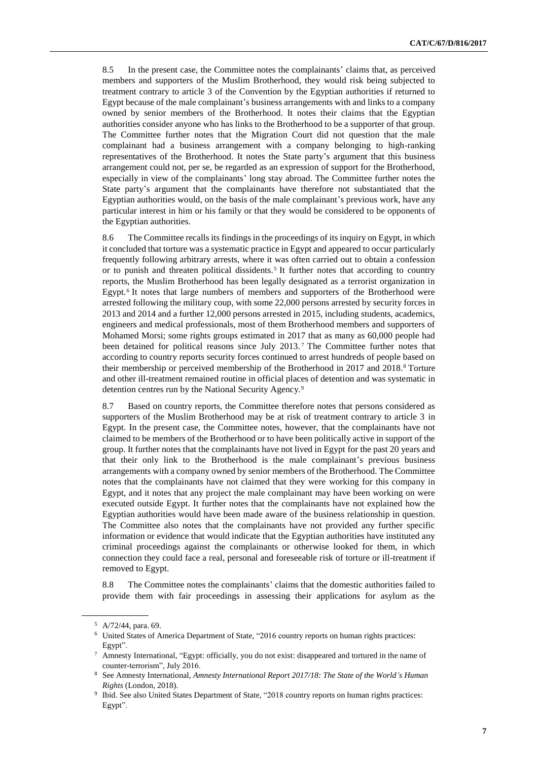8.5 In the present case, the Committee notes the complainants' claims that, as perceived members and supporters of the Muslim Brotherhood, they would risk being subjected to treatment contrary to article 3 of the Convention by the Egyptian authorities if returned to Egypt because of the male complainant's business arrangements with and links to a company owned by senior members of the Brotherhood. It notes their claims that the Egyptian authorities consider anyone who has links to the Brotherhood to be a supporter of that group. The Committee further notes that the Migration Court did not question that the male complainant had a business arrangement with a company belonging to high-ranking representatives of the Brotherhood. It notes the State party's argument that this business arrangement could not, per se, be regarded as an expression of support for the Brotherhood, especially in view of the complainants' long stay abroad. The Committee further notes the State party's argument that the complainants have therefore not substantiated that the Egyptian authorities would, on the basis of the male complainant's previous work, have any particular interest in him or his family or that they would be considered to be opponents of the Egyptian authorities.

8.6 The Committee recalls its findings in the proceedings of its inquiry on Egypt, in which it concluded that torture was a systematic practice in Egypt and appeared to occur particularly frequently following arbitrary arrests, where it was often carried out to obtain a confession or to punish and threaten political dissidents. <sup>5</sup> It further notes that according to country reports, the Muslim Brotherhood has been legally designated as a terrorist organization in Egypt.<sup>6</sup> It notes that large numbers of members and supporters of the Brotherhood were arrested following the military coup, with some 22,000 persons arrested by security forces in 2013 and 2014 and a further 12,000 persons arrested in 2015, including students, academics, engineers and medical professionals, most of them Brotherhood members and supporters of Mohamed Morsi; some rights groups estimated in 2017 that as many as 60,000 people had been detained for political reasons since July 2013. <sup>7</sup> The Committee further notes that according to country reports security forces continued to arrest hundreds of people based on their membership or perceived membership of the Brotherhood in 2017 and 2018.<sup>8</sup> Torture and other ill-treatment remained routine in official places of detention and was systematic in detention centres run by the National Security Agency.<sup>9</sup>

8.7 Based on country reports, the Committee therefore notes that persons considered as supporters of the Muslim Brotherhood may be at risk of treatment contrary to article 3 in Egypt. In the present case, the Committee notes, however, that the complainants have not claimed to be members of the Brotherhood or to have been politically active in support of the group. It further notes that the complainants have not lived in Egypt for the past 20 years and that their only link to the Brotherhood is the male complainant's previous business arrangements with a company owned by senior members of the Brotherhood. The Committee notes that the complainants have not claimed that they were working for this company in Egypt, and it notes that any project the male complainant may have been working on were executed outside Egypt. It further notes that the complainants have not explained how the Egyptian authorities would have been made aware of the business relationship in question. The Committee also notes that the complainants have not provided any further specific information or evidence that would indicate that the Egyptian authorities have instituted any criminal proceedings against the complainants or otherwise looked for them, in which connection they could face a real, personal and foreseeable risk of torture or ill-treatment if removed to Egypt.

8.8 The Committee notes the complainants' claims that the domestic authorities failed to provide them with fair proceedings in assessing their applications for asylum as the

<sup>5</sup> A/72/44, para. 69.

<sup>6</sup> United States of America Department of State, "2016 country reports on human rights practices: Egypt".

<sup>7</sup> Amnesty International, "Egypt: officially, you do not exist: disappeared and tortured in the name of counter-terrorism", July 2016.

<sup>8</sup> See Amnesty International, *Amnesty International Report 2017/18: The State of the World's Human Rights* (London, 2018).

<sup>&</sup>lt;sup>9</sup> Ibid. See also United States Department of State, "2018 country reports on human rights practices: Egypt".